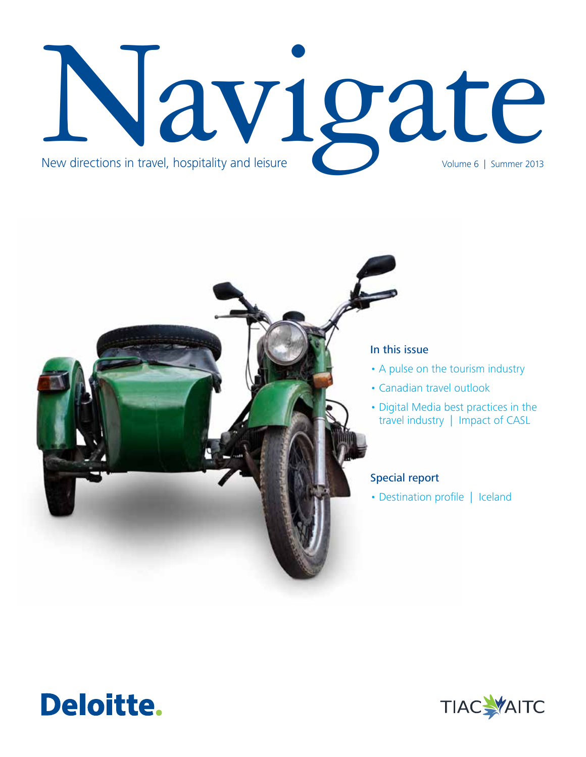# Navigate New directions in travel, hospitality and leisure



# In this issue

- A pulse on the tourism industry
- Canadian travel outlook
- Digital Media best practices in the travel industry | Impact of CASL

# Special report

• Destination profile | Iceland



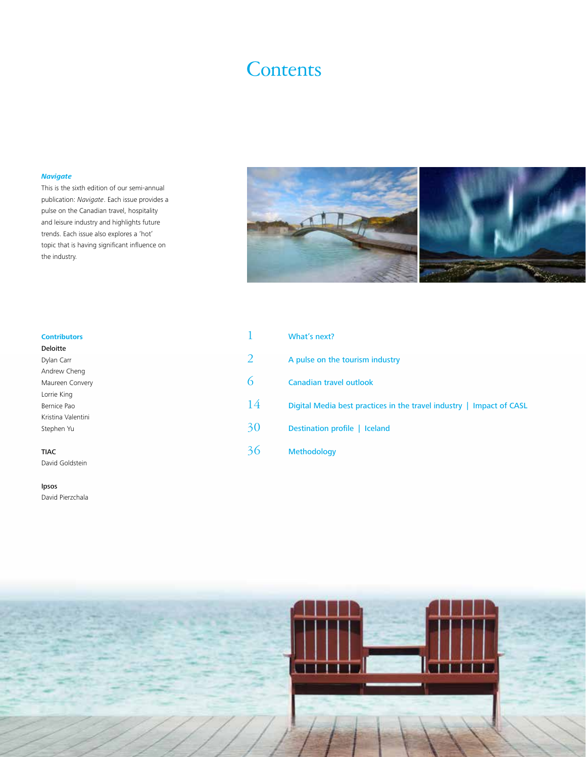# **Contents**

#### *Navigate*

This is the sixth edition of our semi-annual publication: *Navigate*. Each issue provides a pulse on the Canadian travel, hospitality and leisure industry and highlights future trends. Each issue also explores a 'hot' topic that is having significant influence on the industry.



| <b>Contributors</b> |    | What's next?                                                         |
|---------------------|----|----------------------------------------------------------------------|
| Deloitte            |    |                                                                      |
| Dylan Carr          | 2  | A pulse on the tourism industry                                      |
| Andrew Cheng        |    |                                                                      |
| Maureen Convery     | 6  | <b>Canadian travel outlook</b>                                       |
| Lorrie King         |    |                                                                      |
| Bernice Pao         | 14 | Digital Media best practices in the travel industry   Impact of CASL |
| Kristina Valentini  |    |                                                                      |
| Stephen Yu          | 30 | Destination profile   Iceland                                        |
|                     |    |                                                                      |
| <b>TIAC</b>         | 36 | Methodology                                                          |
| David Goldstein     |    |                                                                      |



David Pierzchala

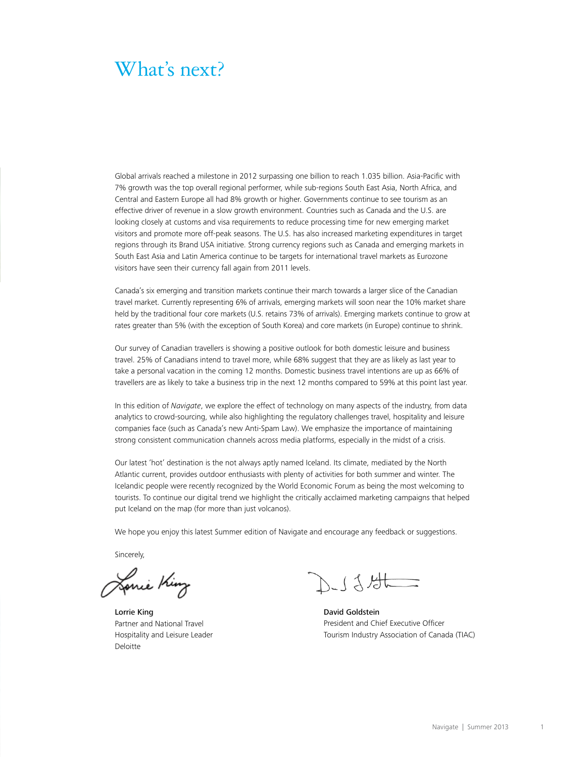# <span id="page-2-0"></span>What's next?

Global arrivals reached a milestone in 2012 surpassing one billion to reach 1.035 billion. Asia-Pacific with 7% growth was the top overall regional performer, while sub-regions South East Asia, North Africa, and Central and Eastern Europe all had 8% growth or higher. Governments continue to see tourism as an effective driver of revenue in a slow growth environment. Countries such as Canada and the U.S. are looking closely at customs and visa requirements to reduce processing time for new emerging market visitors and promote more off-peak seasons. The U.S. has also increased marketing expenditures in target regions through its Brand USA initiative. Strong currency regions such as Canada and emerging markets in South East Asia and Latin America continue to be targets for international travel markets as Eurozone visitors have seen their currency fall again from 2011 levels.

Canada's six emerging and transition markets continue their march towards a larger slice of the Canadian travel market. Currently representing 6% of arrivals, emerging markets will soon near the 10% market share held by the traditional four core markets (U.S. retains 73% of arrivals). Emerging markets continue to grow at rates greater than 5% (with the exception of South Korea) and core markets (in Europe) continue to shrink.

Our survey of Canadian travellers is showing a positive outlook for both domestic leisure and business travel. 25% of Canadians intend to travel more, while 68% suggest that they are as likely as last year to take a personal vacation in the coming 12 months. Domestic business travel intentions are up as 66% of travellers are as likely to take a business trip in the next 12 months compared to 59% at this point last year.

In this edition of *Navigate*, we explore the effect of technology on many aspects of the industry, from data analytics to crowd-sourcing, while also highlighting the regulatory challenges travel, hospitality and leisure companies face (such as Canada's new Anti-Spam Law). We emphasize the importance of maintaining strong consistent communication channels across media platforms, especially in the midst of a crisis.

Our latest 'hot' destination is the not always aptly named Iceland. Its climate, mediated by the North Atlantic current, provides outdoor enthusiasts with plenty of activities for both summer and winter. The Icelandic people were recently recognized by the World Economic Forum as being the most welcoming to tourists. To continue our digital trend we highlight the critically acclaimed marketing campaigns that helped put Iceland on the map (for more than just volcanos).

We hope you enjoy this latest Summer edition of Navigate and encourage any feedback or suggestions.

Sincerely,

Lonie King

Lorrie King **David Goldstein** Partner and National Travel Hospitality and Leisure Leader Deloitte

人子才

President and Chief Executive Officer Tourism Industry Association of Canada (TIAC)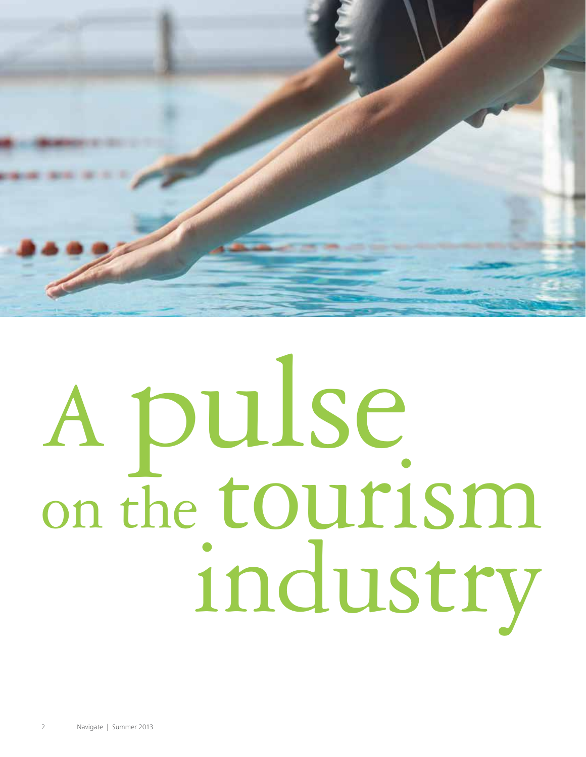<span id="page-3-0"></span>

# A pulse on the tourism industry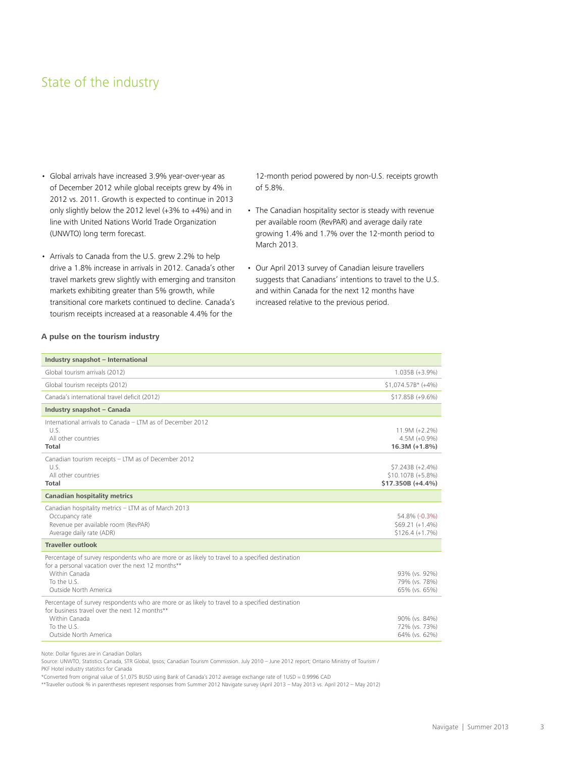# State of the industry

- Global arrivals have increased 3.9% year-over-year as of December 2012 while global receipts grew by 4% in 2012 vs. 2011. Growth is expected to continue in 2013 only slightly below the 2012 level  $(+3\%$  to  $+4\%)$  and in line with United Nations World Trade Organization (UNWTO) long term forecast.
- Arrivals to Canada from the U.S. grew 2.2% to help drive a 1.8% increase in arrivals in 2012. Canada's other travel markets grew slightly with emerging and transiton markets exhibiting greater than 5% growth, while transitional core markets continued to decline. Canada's tourism receipts increased at a reasonable 4.4% for the

12-month period powered by non-U.S. receipts growth of 5.8%.

- The Canadian hospitality sector is steady with revenue per available room (RevPAR) and average daily rate growing 1.4% and 1.7% over the 12-month period to March 2013.
- Our April 2013 survey of Canadian leisure travellers suggests that Canadians' intentions to travel to the U.S. and within Canada for the next 12 months have increased relative to the previous period.

#### **A pulse on the tourism industry**

| Industry snapshot - International                                                                                                                                                                             |                                                            |
|---------------------------------------------------------------------------------------------------------------------------------------------------------------------------------------------------------------|------------------------------------------------------------|
| Global tourism arrivals (2012)                                                                                                                                                                                | 1.035B (+3.9%)                                             |
| Global tourism receipts (2012)                                                                                                                                                                                | $$1,074.57B' (+4%)$                                        |
| Canada's international travel deficit (2012)                                                                                                                                                                  | $$17.85B (+9.6%)$                                          |
| Industry snapshot - Canada                                                                                                                                                                                    |                                                            |
| International arrivals to Canada - ITM as of December 2012<br>U.S.<br>All other countries<br>Total                                                                                                            | $11.9M (+2.2%)$<br>$4.5M (+0.9%)$<br>$16.3M (+1.8%)$       |
| Canadian tourism receipts - LTM as of December 2012<br>U.S.<br>All other countries<br><b>Total</b>                                                                                                            | \$7.243B (+2.4%)<br>\$10.107B (+5.8%)<br>\$17.350B (+4.4%) |
| <b>Canadian hospitality metrics</b>                                                                                                                                                                           |                                                            |
| Canadian hospitality metrics - LTM as of March 2013<br>Occupancy rate<br>Revenue per available room (RevPAR)<br>Average daily rate (ADR)                                                                      | 54.8% (-0.3%)<br>$$69.21 (+1.4%)$<br>$$126.4 (+1.7%)$      |
| <b>Traveller outlook</b>                                                                                                                                                                                      |                                                            |
| Percentage of survey respondents who are more or as likely to travel to a specified destination<br>for a personal vacation over the next 12 months**<br>Within Canada<br>To the U.S.<br>Outside North America | 93% (vs. 92%)<br>79% (vs. 78%)<br>65% (vs. 65%)            |
| Percentage of survey respondents who are more or as likely to travel to a specified destination<br>for business travel over the next 12 months**<br>Within Canada<br>To the U.S.<br>Outside North America     | 90% (vs. 84%)<br>72% (vs. 73%)<br>64% (vs. 62%)            |

Note: Dollar figures are in Canadian Dollars

Source: UNWTO, Statistics Canada, STR Global, Ipsos; Canadian Tourism Commission. July 2010 - June 2012 report; Ontario Ministry of Tourism / PKF Hotel industry statistics for Canada

\*Converted from original value of \$1,075 BUSD using Bank of Canada's 2012 average exchange rate of 1USD = 0.9996 CAD

\*\*Traveller outlook % in parentheses represent responses from Summer 2012 Navigate survey (April 2013 – May 2013 vs. April 2012 – May 2012)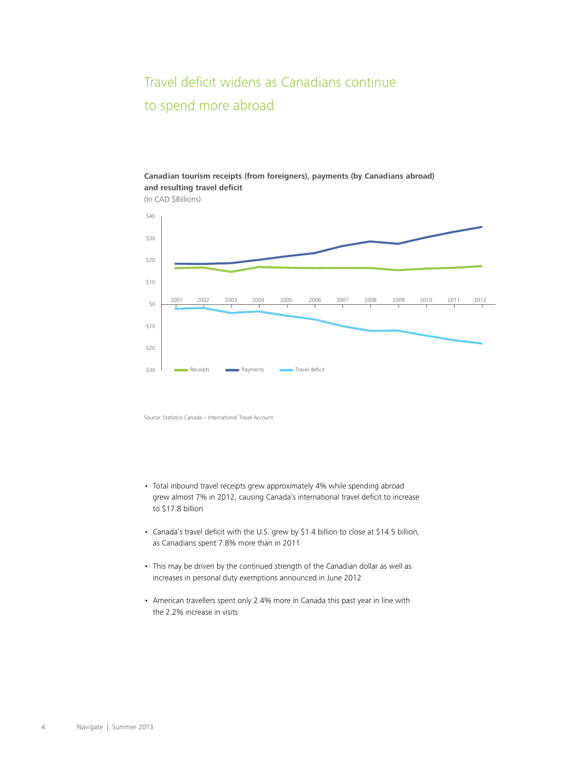# Travel deficit widens as Canadians continue to spend more abroad

## **Canadian tourism receipts (from foreigners), payments (by Canadians abroad) and resulting travel deficit**

(In CAD \$Billions)



Source: Statistics Canada - International Travel Account

- Total inbound travel receipts grew approximately 4% while spending abroad grew almost 7% in 2012, causing Canada's international travel deficit to increase to \$17.8 billion
- Canada's travel deficit with the U.S. grew by \$1.4 billion to close at \$14.5 billion, as Canadians spent 7.8% more than in 2011
- This may be driven by the continued strength of the Canadian dollar as well as increases in personal duty exemptions announced in June 2012
- American travellers spent only 2.4% more in Canada this past year in line with the 2.2% increase in visits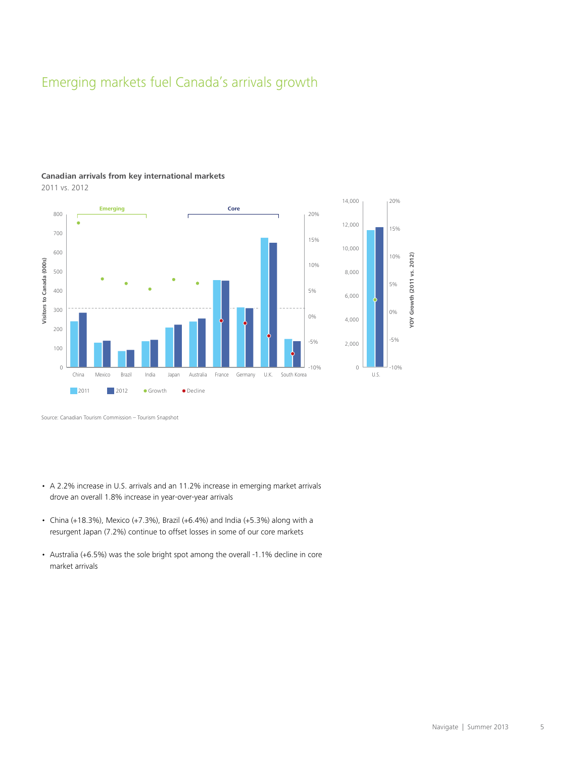# Emerging markets fuel Canada's arrivals growth



## **Canadian arrivals from key international markets**

2011 vs. 2012

Source: Canadian Tourism Commission - Tourism Snapshot

- A 2.2% increase in U.S. arrivals and an 11.2% increase in emerging market arrivals drove an overall 1.8% increase in year-over-year arrivals
- China (+18.3%), Mexico (+7.3%), Brazil (+6.4%) and India (+5.3%) along with a resurgent Japan (7.2%) continue to offset losses in some of our core markets
- Australia (+6.5%) was the sole bright spot among the overall -1.1% decline in core market arrivals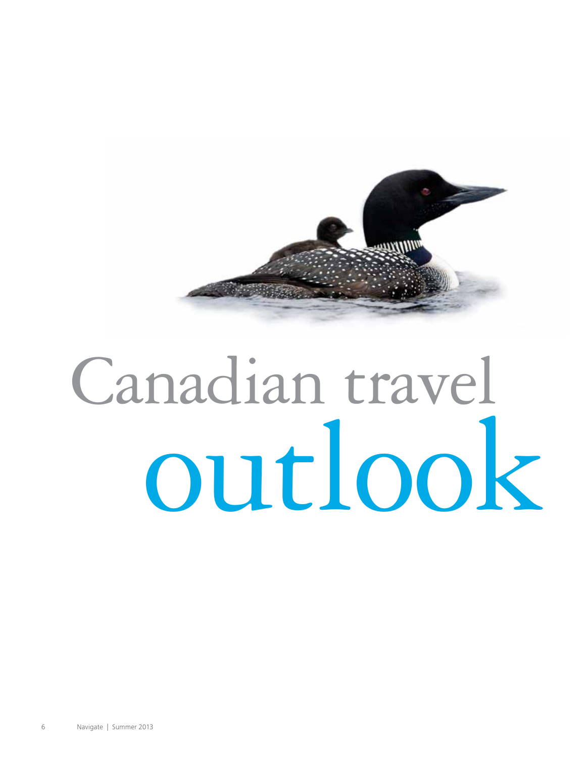<span id="page-7-0"></span>

# Canadian travel outlook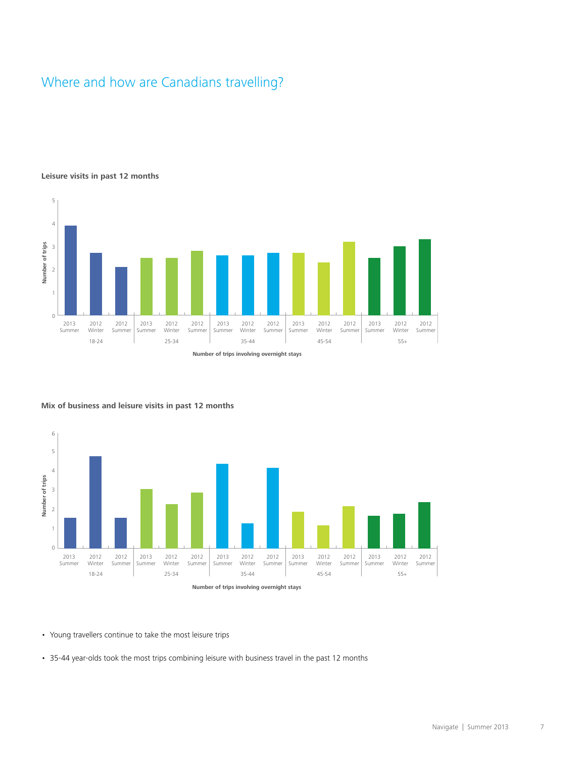# Where and how are Canadians travelling?

#### **Leisure visits in past 12 months**





#### **Mix of business and leisure visits in past 12 months**

• Young travellers continue to take the most leisure trips

• 35-44 year-olds took the most trips combining leisure with business travel in the past 12 months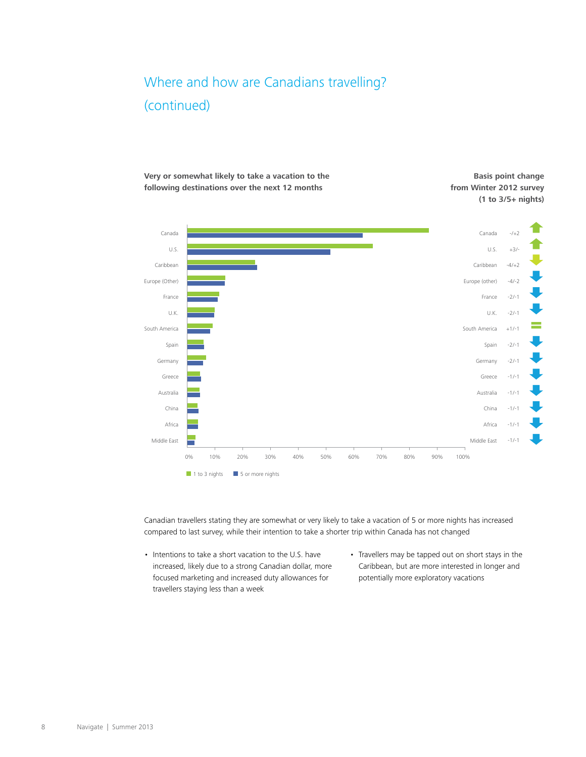# Where and how are Canadians travelling? (continued)







Canadian travellers stating they are somewhat or very likely to take a vacation of 5 or more nights has increased compared to last survey, while their intention to take a shorter trip within Canada has not changed

- Intentions to take a short vacation to the U.S. have increased, likely due to a strong Canadian dollar, more focused marketing and increased duty allowances for travellers staying less than a week
- Travellers may be tapped out on short stays in the Caribbean, but are more interested in longer and potentially more exploratory vacations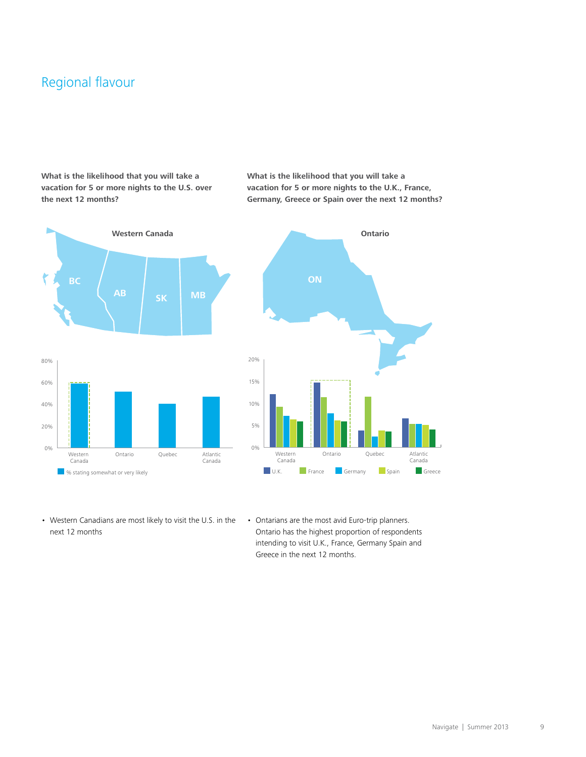# Regional flavour

### **What is the likelihood that you will take a vacation for 5 or more nights to the U.S. over the next 12 months?**



**What is the likelihood that you will take a vacation for 5 or more nights to the U.K., France, Germany, Greece or Spain over the next 12 months?**



- Western Canadians are most likely to visit the U.S. in the next 12 months
- Ontarians are the most avid Euro-trip planners. Ontario has the highest proportion of respondents intending to visit U.K., France, Germany Spain and Greece in the next 12 months.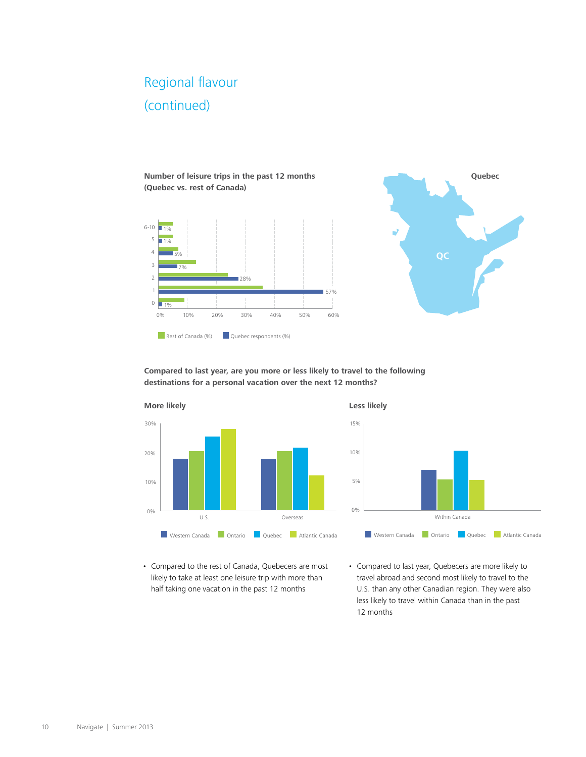# Regional flavour (continued)

**Number of leisure trips in the past 12 months (Quebec vs. rest of Canada)**





**Compared to last year, are you more or less likely to travel to the following destinations for a personal vacation over the next 12 months?**





• Compared to the rest of Canada, Quebecers are most likely to take at least one leisure trip with more than half taking one vacation in the past 12 months

• Compared to last year, Quebecers are more likely to travel abroad and second most likely to travel to the U.S. than any other Canadian region. They were also less likely to travel within Canada than in the past 12 months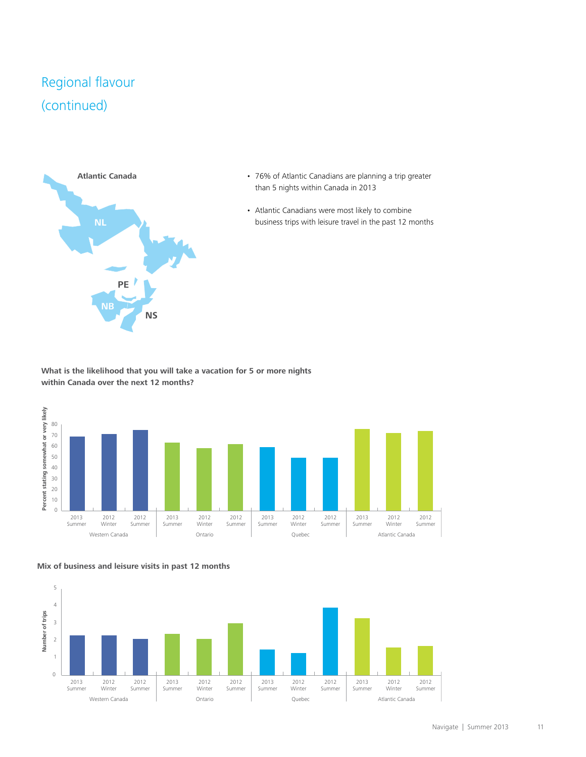# Regional flavour (continued)



- 76% of Atlantic Canadians are planning a trip greater than 5 nights within Canada in 2013
- Atlantic Canadians were most likely to combine business trips with leisure travel in the past 12 months

**What is the likelihood that you will take a vacation for 5 or more nights within Canada over the next 12 months?**





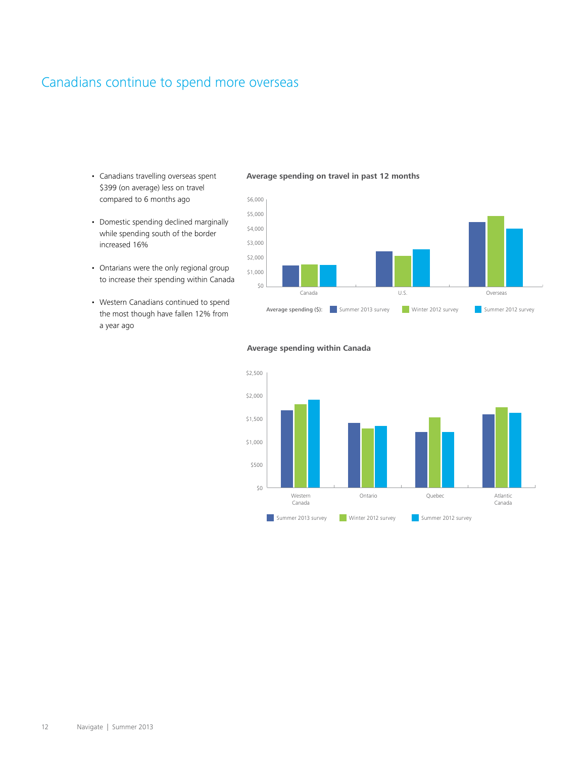# Canadians continue to spend more overseas

- Canadians travelling overseas spent \$399 (on average) less on travel compared to 6 months ago
- Domestic spending declined marginally while spending south of the border increased 16%
- Ontarians were the only regional group to increase their spending within Canada
- Western Canadians continued to spend the most though have fallen 12% from a year ago

#### **Average spending on travel in past 12 months**



# **Average spending within Canada**

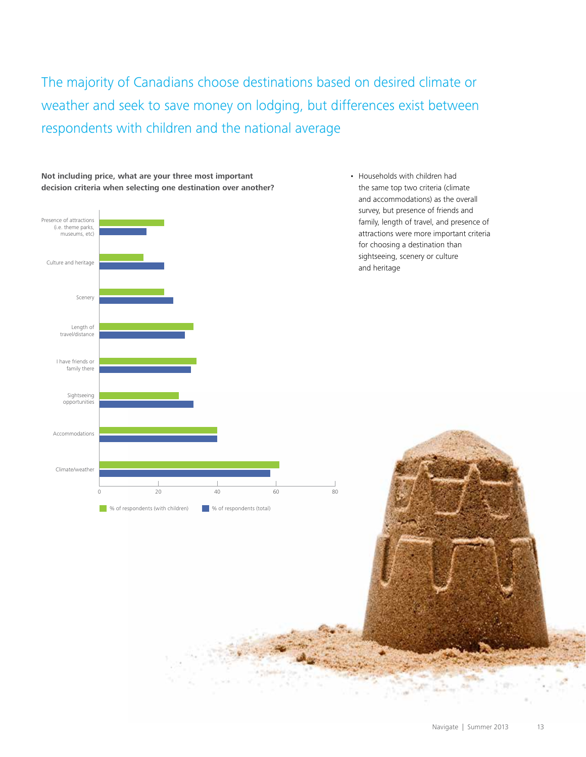The majority of Canadians choose destinations based on desired climate or weather and seek to save money on lodging, but differences exist between respondents with children and the national average





• Households with children had the same top two criteria (climate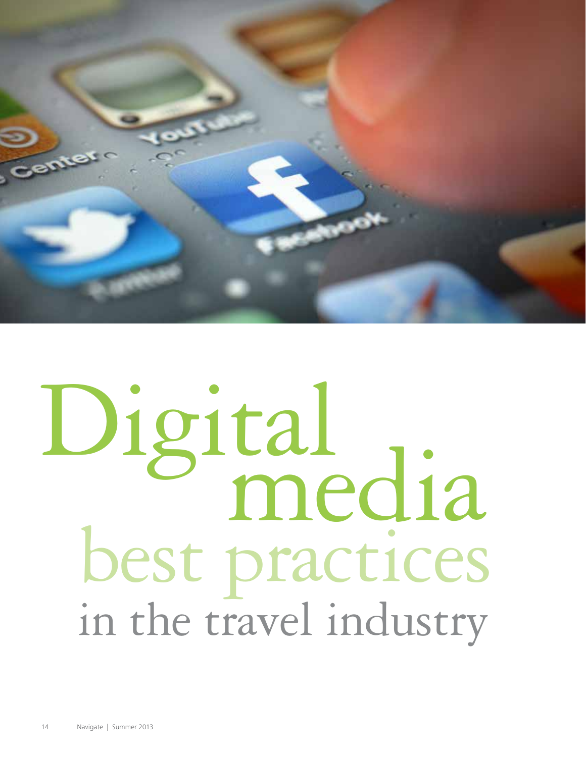<span id="page-15-0"></span>

# Digital media best practices in the travel industry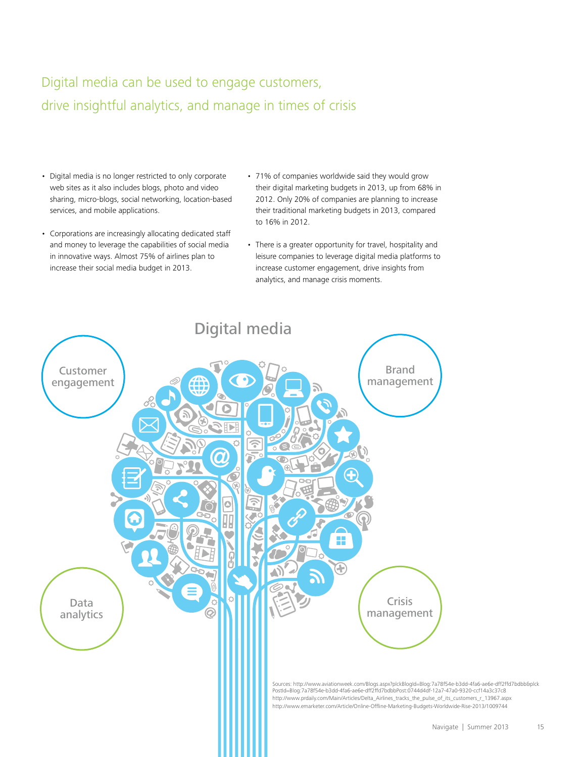# Digital media can be used to engage customers, drive insightful analytics, and manage in times of crisis

- Digital media is no longer restricted to only corporate web sites as it also includes blogs, photo and video sharing, micro-blogs, social networking, location-based services, and mobile applications.
- Corporations are increasingly allocating dedicated staff and money to leverage the capabilities of social media in innovative ways. Almost 75% of airlines plan to increase their social media budget in 2013.
- 71% of companies worldwide said they would grow their digital marketing budgets in 2013, up from 68% in 2012. Only 20% of companies are planning to increase their traditional marketing budgets in 2013, compared to 16% in 2012.
- There is a greater opportunity for travel, hospitality and leisure companies to leverage digital media platforms to increase customer engagement, drive insights from analytics, and manage crisis moments.

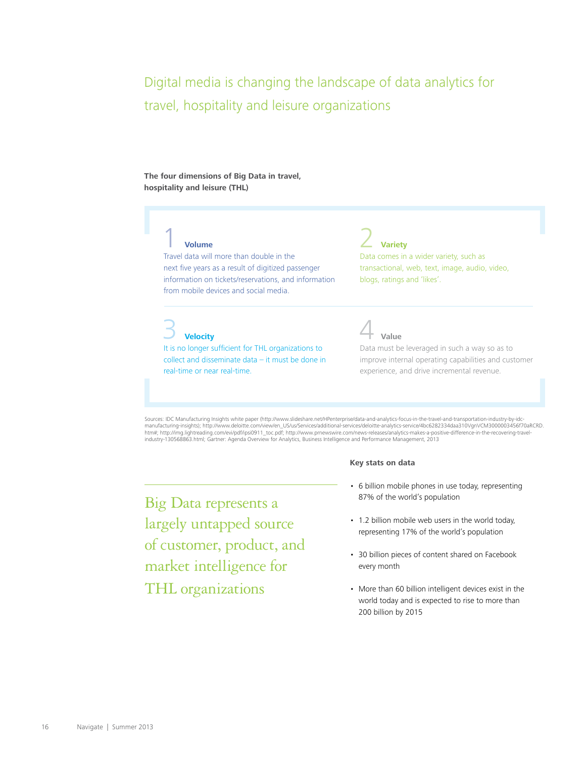Digital media is changing the landscape of data analytics for travel, hospitality and leisure organizations

**The four dimensions of Big Data in travel, hospitality and leisure (THL)**

## 1 **Volume**

Travel data will more than double in the next five years as a result of digitized passenger information on tickets/reservations, and information from mobile devices and social media.

3 **Velocity**

It is no longer sufficient for THL organizations to collect and disseminate  $data - it$  must be done in real-time or near real-time.

**Variety** 

Data comes in a wider variety, such as transactional, web, text, image, audio, video, blogs, ratings and 'likes'.

4 **Value**

Data must be leveraged in such a way so as to improve internal operating capabilities and customer experience, and drive incremental revenue.

Sources: IDC Manufacturing Insights white paper (http://www.slideshare.net/HPenterprise/data-and-analytics-focus-in-the-travel-and-transportation-industry-by-idc manufacturing-insights); http://www.deloitte.com/view/en\_US/us/Services/additional-services/deloitte-analytics-service/4bc6282334daa310VgnVCM3000003456f7[0aRCRD.](http://www.deloitte.com/view/en_US/us/Services/additional-services/deloitte-analytics-service/4bc6282334daa310VgnVCM3000003456f70aRCRD.htm#)<br>htm#; [http://img.lightreading.com/evi/pdf/ipsi0911\\_toc.pdf](http://img.lightreading.com/evi/pdf/ipsi0911_toc.pdf); h industry-130568863.html; Gartner: Agenda Overview for Analytics, Business Intelligence and Performance Management, 2013

**Key stats on data**

Big Data represents a largely untapped source of customer, product, and market intelligence for THL organizations

## • 6 billion mobile phones in use today, representing 87% of the world's population

- 1.2 billion mobile web users in the world today, representing 17% of the world's population
- 30 billion pieces of content shared on Facebook every month
- More than 60 billion intelligent devices exist in the world today and is expected to rise to more than 200 billion by 2015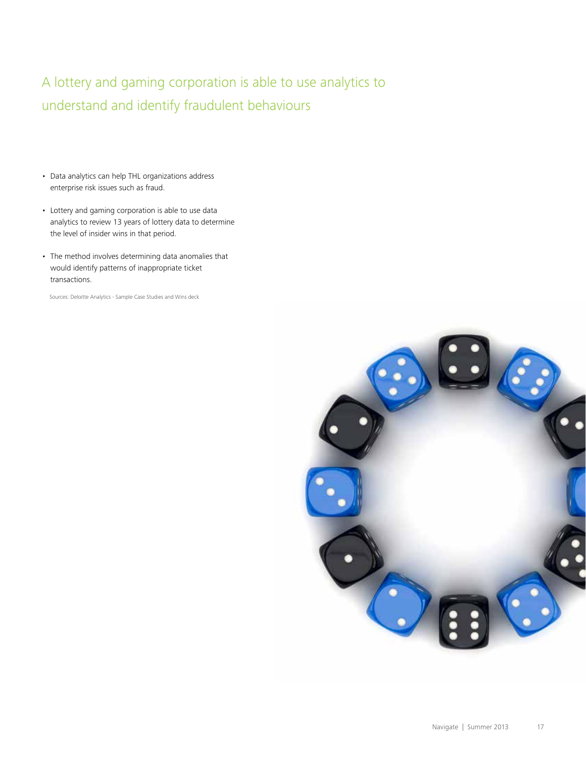A lottery and gaming corporation is able to use analytics to understand and identify fraudulent behaviours

- Data analytics can help THL organizations address enterprise risk issues such as fraud.
- Lottery and gaming corporation is able to use data analytics to review 13 years of lottery data to determine the level of insider wins in that period.
- The method involves determining data anomalies that would identify patterns of inappropriate ticket transactions.

Sources: Deloitte Analytics - Sample Case Studies and Wins deck

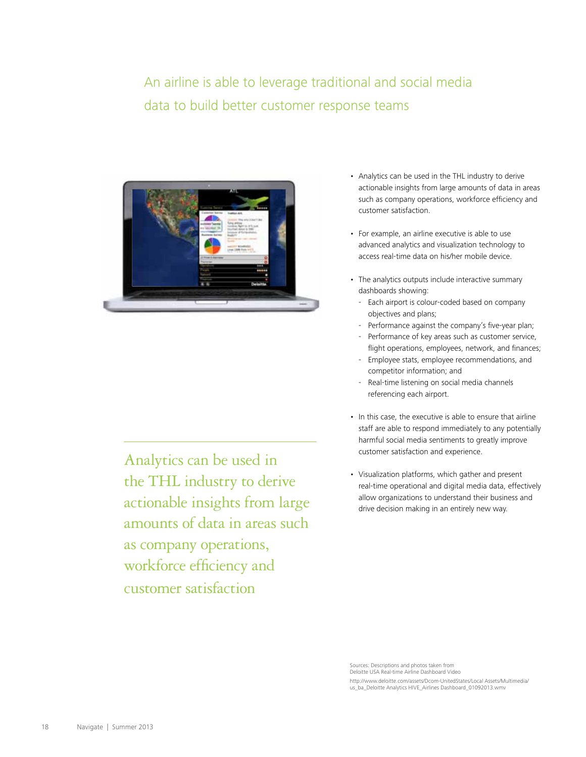# An airline is able to leverage traditional and social media data to build better customer response teams



Analytics can be used in the THL industry to derive actionable insights from large amounts of data in areas such as company operations, workforce efficiency and customer satisfaction

- Analytics can be used in the THL industry to derive actionable insights from large amounts of data in areas such as company operations, workforce efficiency and customer satisfaction.
- For example, an airline executive is able to use advanced analytics and visualization technology to access real-time data on his/her mobile device.
- The analytics outputs include interactive summary dashboards showing:
	- Each airport is colour-coded based on company objectives and plans;
- Performance against the company's five-year plan;
- Performance of key areas such as customer service, flight operations, employees, network, and finances;
	- Employee stats, employee recommendations, and competitor information; and
	- Real-time listening on social media channels referencing each airport.
- In this case, the executive is able to ensure that airline staff are able to respond immediately to any potentially harmful social media sentiments to greatly improve customer satisfaction and experience.
- Visualization platforms, which gather and present real-time operational and digital media data, effectively allow organizations to understand their business and drive decision making in an entirely new way.

Sources: Descriptions and photos taken from Deloitte USA Real-time Airline Dashboard Video [http://www.deloitte.com/assets/Dcom-UnitedStates/Local Assets/Multimedia/](http://www.deloitte.com/assets/Dcom-UnitedStates/Local Assets/Multimedia/us_ba_Deloitte Analytics HIVE_Airlines Dashboard_01092013.wmv) us\_ba\_Deloitte Analytics HIVE\_Airlines Dashboard\_01092013.wmv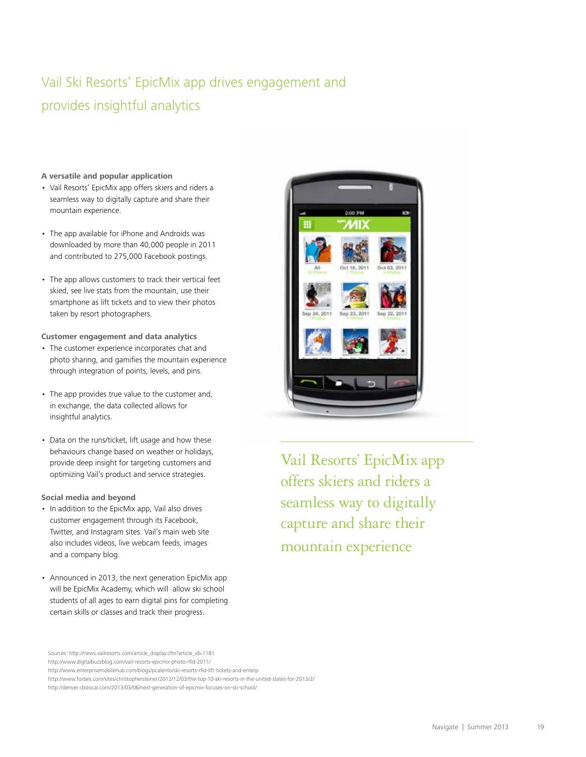# Vail Ski Resorts' EpicMix app drives engagement and provides insightful analytics

#### **A versatile and popular application**

- Vail Resorts' EpicMix app offers skiers and riders a seamless way to digitally capture and share their mountain experience.
- The app available for iPhone and Androids was downloaded by more than 40,000 people in 2011 and contributed to 275,000 Facebook postings.
- The app allows customers to track their vertical feet skied, see live stats from the mountain, use their smartphone as lift tickets and to view their photos taken by resort photographers.

#### **Customer engagement and data analytics**

- The customer experience incorporates chat and photo sharing, and gamifies the mountain experience through integration of points, levels, and pins.
- The app provides true value to the customer and, in exchange, the data collected allows for insightful analytics.
- Data on the runs/ticket, lift usage and how these behaviours change based on weather or holidays, provide deep insight for targeting customers and optimizing Vail's product and service strategies.

#### **Social media and beyond**

- In addition to the EpicMix app, Vail also drives customer engagement through its Facebook, Twitter, and Instagram sites. Vail's main web site also includes videos, live webcam feeds, images and a company blog.
- Announced in 2013, the next generation EpicMix app will be EpicMix Academy, which will allow ski school students of all ages to earn digital pins for completing certain skills or classes and track their progress.



Vail Resorts' EpicMix app offers skiers and riders a seamless way to digitally capture and share their mountain experience

[Sources:](http://www.digitalbuzzblog.com/vail-resorts-epicmix-photo-rfid-2011/) [http://news.vailresorts.com/article\\_display.cfm?article\\_id=1181](http://news.vailresorts.com/article_display.cfm?article_id=1181)

http://www.digitalbuzzblog.com/vail-resorts-epicmix-photo-rfid-2011/

<http://www.enterprisemobilehub.com/blogs/pcalento/ski-resorts-rfid-lift-tickets-and-enterp>

<http://www.forbes.com/sites/christophersteiner/2012/12/03/the-top-10-ski-resorts-in-the-united-states-for-2013/2/> <http://denver.cbslocal.com/2013/03/06/next-generation-of-epicmix-focuses-on-ski-school/>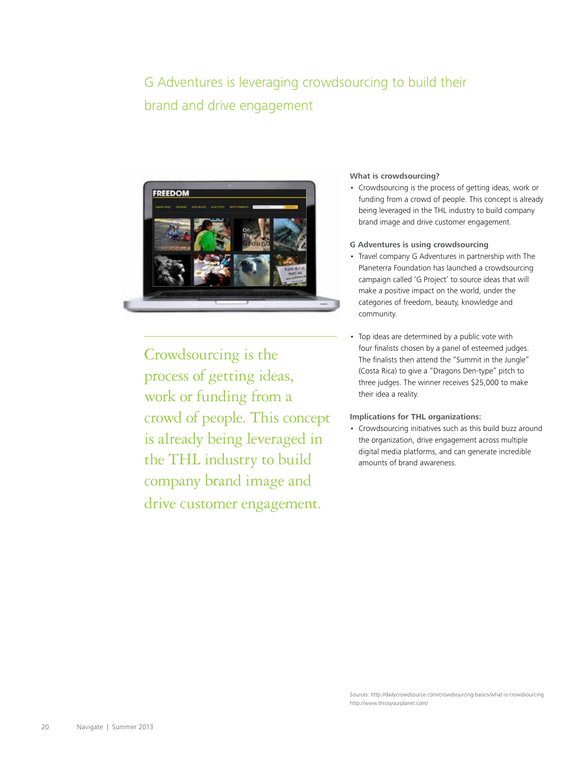# G Adventures is leveraging crowdsourcing to build their brand and drive engagement



Crowdsourcing is the process of getting ideas, work or funding from a crowd of people. This concept is already being leveraged in the THL industry to build company brand image and drive customer engagement.

#### **What is crowdsourcing?**

- Crowdsourcing is the process of getting ideas, work or funding from a crowd of people. This concept is already being leveraged in the THL industry to build company brand image and drive customer engagement.
- **G Adventures is using crowdsourcing**
- Travel company G Adventures in partnership with The Planeterra Foundation has launched a crowdsourcing campaign called 'G Project' to source ideas that will make a positive impact on the world, under the categories of freedom, beauty, knowledge and community.
- Top ideas are determined by a public vote with four finalists chosen by a panel of esteemed judges. The finalists then attend the "Summit in the Jungle" (Costa Rica) to give a "Dragons Den-type" pitch to three judges. The winner receives \$25,000 to make their idea a reality.

#### **Implications for THL organizations:**

• Crowdsourcing initiatives such as this build buzz around the organization, drive engagement across multiple digital media platforms, and can generate incredible amounts of brand awareness.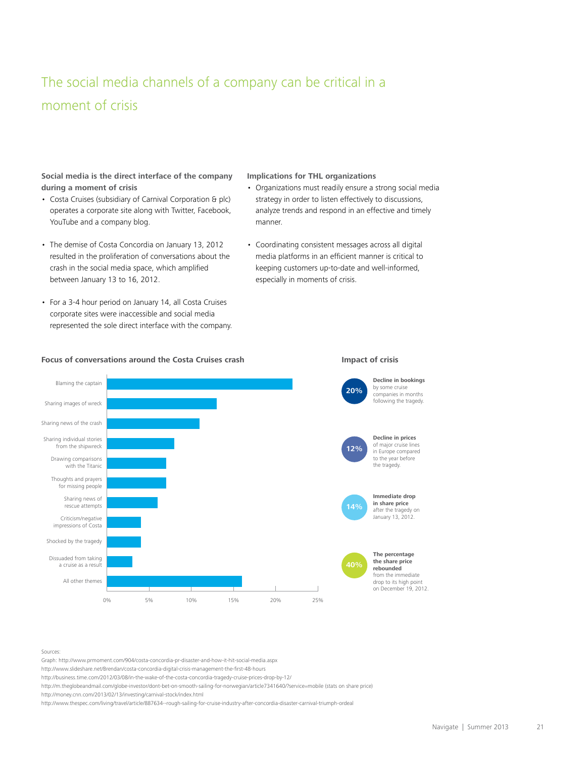# The social media channels of a company can be critical in a moment of crisis

#### **Social media is the direct interface of the company during a moment of crisis**

- Costa Cruises (subsidiary of Carnival Corporation & plc) operates a corporate site along with Twitter, Facebook, YouTube and a company blog.
- The demise of Costa Concordia on January 13, 2012 resulted in the proliferation of conversations about the crash in the social media space, which amplified between January 13 to 16, 2012.
- For a 3-4 hour period on January 14, all Costa Cruises corporate sites were inaccessible and social media represented the sole direct interface with the company.

#### **Implications for THL organizations**

- Organizations must readily ensure a strong social media strategy in order to listen effectively to discussions, analyze trends and respond in an effective and timely manner.
- Coordinating consistent messages across all digital media platforms in an efficient manner is critical to keeping customers up-to-date and well-informed, especially in moments of crisis.



#### **Focus of conversations around the Costa Cruises crash Impact of crisis**



**Decline in bookings**  by some cruise companies in months following the tragedy.

of major cruise lines in Europe compared to the year before the tragedy.

**Immediate drop in share price**  after the tragedy on January 13, 2012.



**The percentage the share price rebounded** from the immediate drop to its high point on December 19, 2012.

Sources:

Graph:<http://www.prmoment.com/904/costa-concordia-pr-disaster-and-how-it-hit-social-media.aspx>

<http://www.slideshare.net/Brendan/costa-concordia-digital-crisis-management-the-first-48-hours>

<http://business.time.com/2012/03/08/in-the-wake-of-the-costa-concordia-tragedy-cruise-prices-drop-by-12/>

<http://m.theglobeandmail.com/globe-investor/dont-bet-on-smooth-sailing-for-norwegian/article7341640/?service=mobile> (stats on share price)

<http://money.cnn.com/2013/02/13/investing/carnival-stock/index.html>

<http://www.thespec.com/living/travel/article/887634--rough-sailing-for-cruise-industry-after-concordia-disaster-carnival-triumph-ordeal>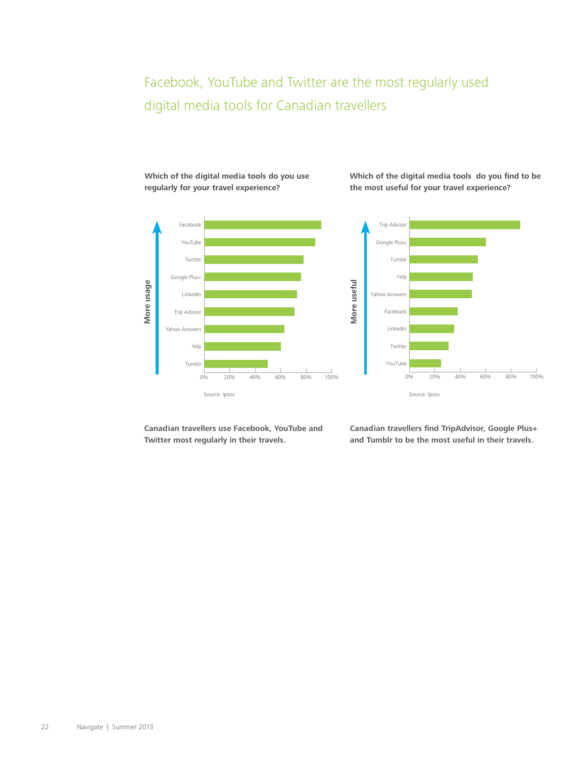# Facebook, YouTube and Twitter are the most regularly used digital media tools for Canadian travellers

Facebook YouTube Twitter Google Plus+ More usage **More usage** LinkedIn Trip Advisor Yahoo Answers Yelp Tumblr 0% 20% 40% 60% 80% 100% Source: Ipsos

**Which of the digital media tools do you use regularly for your travel experience?**

**Which of the digital media tools do you find to be the most useful for your travel experience?**



**Canadian travellers use Facebook, YouTube and Twitter most regularly in their travels.**

**Canadian travellers find TripAdvisor, Google Plus+ and Tumblr to be the most useful in their travels.**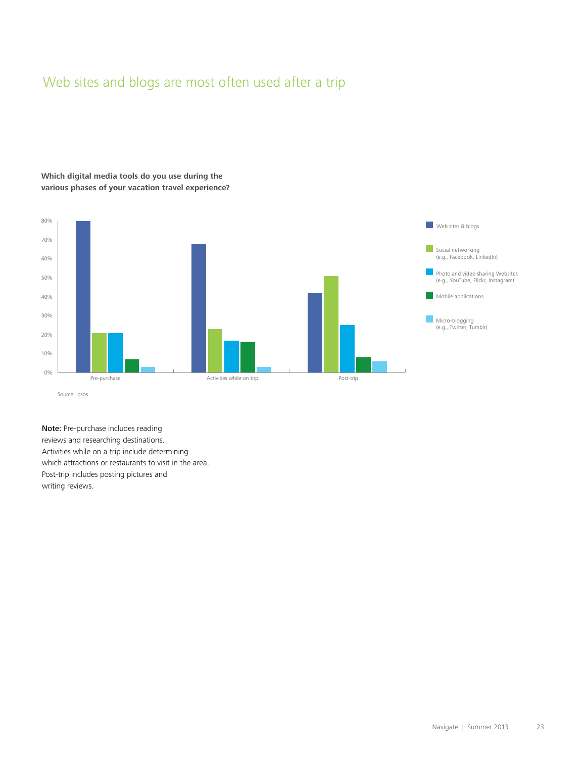# Web sites and blogs are most often used after a trip

## **Which digital media tools do you use during the various phases of your vacation travel experience?**



Note: Pre-purchase includes reading reviews and researching destinations. Activities while on a trip include determining which attractions or restaurants to visit in the area. Post-trip includes posting pictures and writing reviews.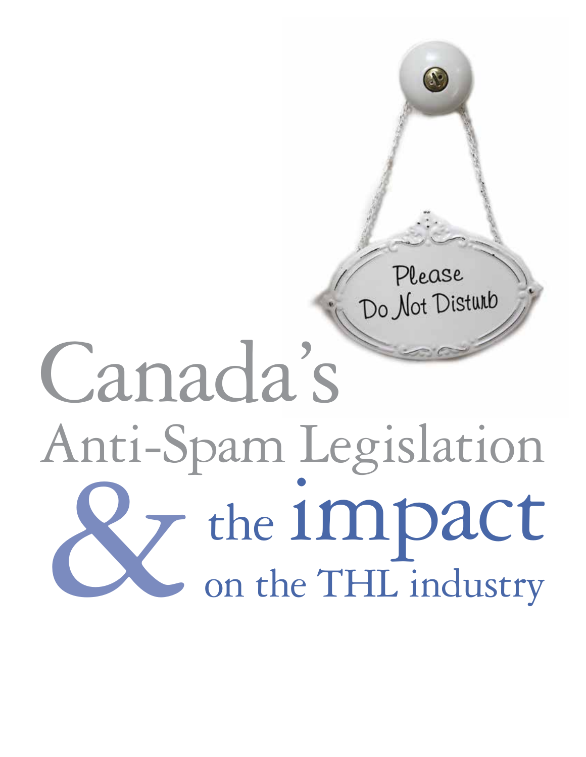# Please Do Not Disturb

# Canada's Anti-Spam Anti-Spam Legislation the impact on the THL industry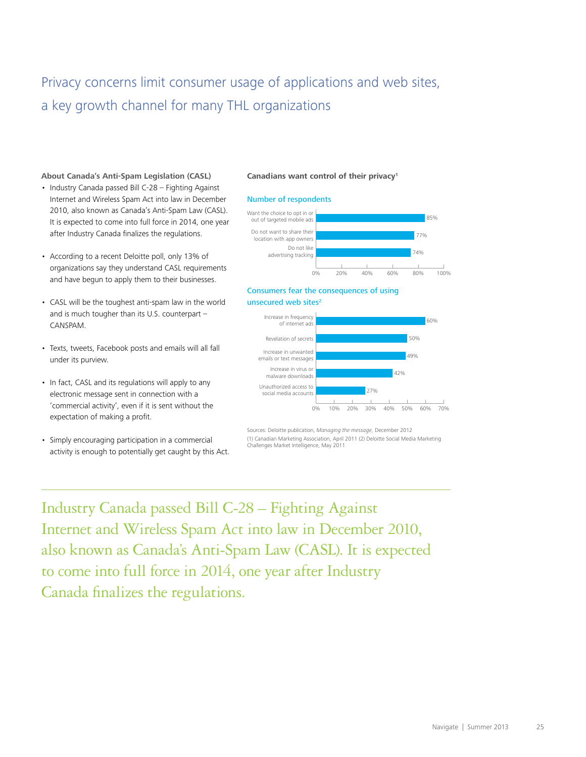# Privacy concerns limit consumer usage of applications and web sites, a key growth channel for many THL organizations

#### **About Canada's Anti-Spam Legislation (CASL)**

- Industry Canada passed Bill C-28 Fighting Against Internet and Wireless Spam Act into law in December 2010, also known as Canada's Anti-Spam Law (CASL). It is expected to come into full force in 2014, one year after Industry Canada finalizes the regulations.
- According to a recent Deloitte poll, only 13% of organizations say they understand CASL requirements and have begun to apply them to their businesses.
- CASL will be the toughest anti-spam law in the world and is much tougher than its U.S. counterpart  $-$ CANSPAM.
- Texts, tweets, Facebook posts and emails will all fall under its purview.
- In fact, CASL and its regulations will apply to any electronic message sent in connection with a 'commercial activity', even if it is sent without the expectation of making a profit.
- Simply encouraging participation in a commercial activity is enough to potentially get caught by this Act.

#### **Canadians want control of their privacy1**

#### Number of respondents



#### Consumers fear the consequences of using unsecured web sites<sup>2</sup>



Sources: Deloitte publication, *Managing the message*, December 2012 (1) Canadian Marketing Association, April 2011 (2) Deloitte Social Media Marketing Challenges Market Intelligence, May 2011

Industry Canada passed Bill C-28 – Fighting Against Internet and Wireless Spam Act into law in December 2010, also known as Canada's Anti-Spam Law (CASL). It is expected to come into full force in 2014, one year after Industry Canada finalizes the regulations.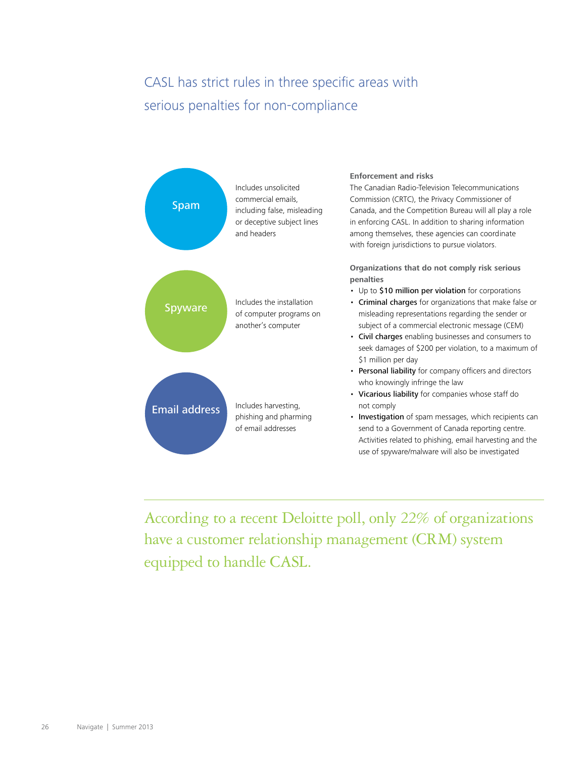# CASL has strict rules in three specific areas with serious penalties for non-compliance



According to a recent Deloitte poll, only 22% of organizations have a customer relationship management (CRM) system equipped to handle CASL.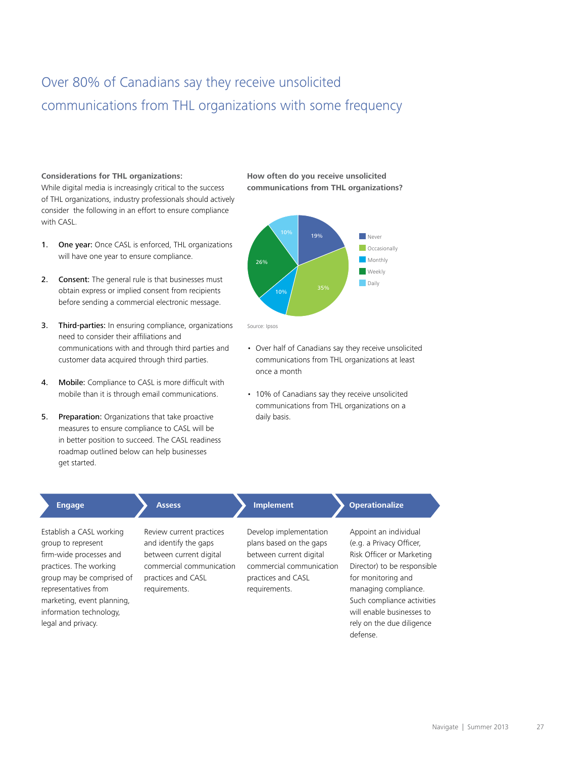# Over 80% of Canadians say they receive unsolicited communications from THL organizations with some frequency

#### **Considerations for THL organizations:**

While digital media is increasingly critical to the success of THL organizations, industry professionals should actively consider the following in an effort to ensure compliance with CASL.

- 1. One year: Once CASL is enforced, THL organizations will have one year to ensure compliance.
- 2. Consent: The general rule is that businesses must obtain express or implied consent from recipients before sending a commercial electronic message.
- 3. Third-parties: In ensuring compliance, organizations need to consider their affiliations and communications with and through third parties and customer data acquired through third parties.
- 4. Mobile: Compliance to CASL is more difficult with mobile than it is through email communications.
- 5. Preparation: Organizations that take proactive measures to ensure compliance to CASL will be in better position to succeed. The CASL readiness roadmap outlined below can help businesses get started.

#### **How often do you receive unsolicited communications from THL organizations?**



- Over half of Canadians say they receive unsolicited communications from THL organizations at least once a month
- 10% of Canadians say they receive unsolicited communications from THL organizations on a daily basis.

| <b>Engage</b>                                                                                                                                                                                                                           | <b>Assess</b>                                                                                                                                   | <b>Implement</b>                                                                                                                                | <b>Operationalize</b>                                                                                                                                                                                                                                           |
|-----------------------------------------------------------------------------------------------------------------------------------------------------------------------------------------------------------------------------------------|-------------------------------------------------------------------------------------------------------------------------------------------------|-------------------------------------------------------------------------------------------------------------------------------------------------|-----------------------------------------------------------------------------------------------------------------------------------------------------------------------------------------------------------------------------------------------------------------|
| Establish a CASL working<br>group to represent<br>firm-wide processes and<br>practices. The working<br>group may be comprised of<br>representatives from<br>marketing, event planning,<br>information technology,<br>legal and privacy. | Review current practices<br>and identify the gaps<br>between current digital<br>commercial communication<br>practices and CASL<br>requirements. | Develop implementation<br>plans based on the gaps<br>between current digital<br>commercial communication<br>practices and CASL<br>requirements. | Appoint an individual<br>(e.g. a Privacy Officer,<br>Risk Officer or Marketing<br>Director) to be responsible<br>for monitoring and<br>managing compliance.<br>Such compliance activities<br>will enable businesses to<br>rely on the due diligence<br>defense. |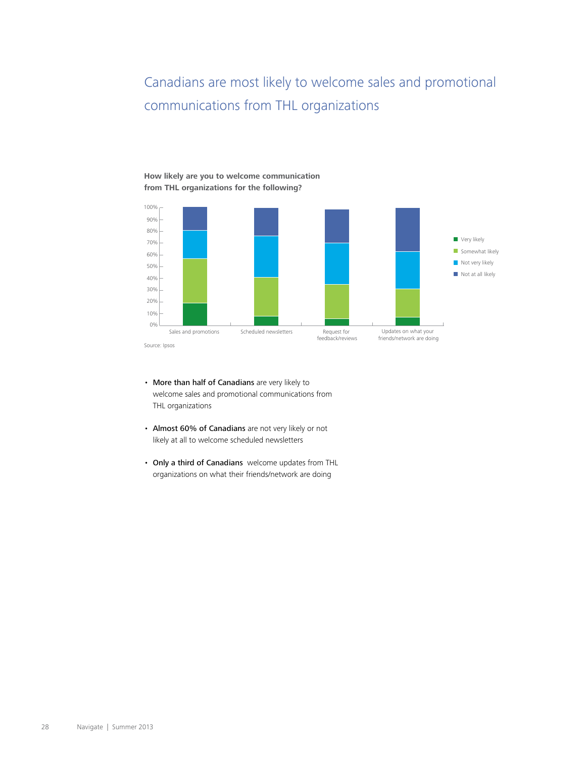# Canadians are most likely to welcome sales and promotional communications from THL organizations

#### Source: Ipsos 0% 10% 20% 30% 40% 50% 60% 70% 80% 90% 100% Not at all likely Not very likely  $\blacksquare$  Somewhat likely **Very likely** Sales and promotions Scheduled newsletters Request for feedback/reviews Updates on what your friends/network are doing

• More than half of Canadians are very likely to welcome sales and promotional communications from THL organizations

**How likely are you to welcome communication from THL organizations for the following?** 

- Almost 60% of Canadians are not very likely or not likely at all to welcome scheduled newsletters
- Only a third of Canadians welcome updates from THL organizations on what their friends/network are doing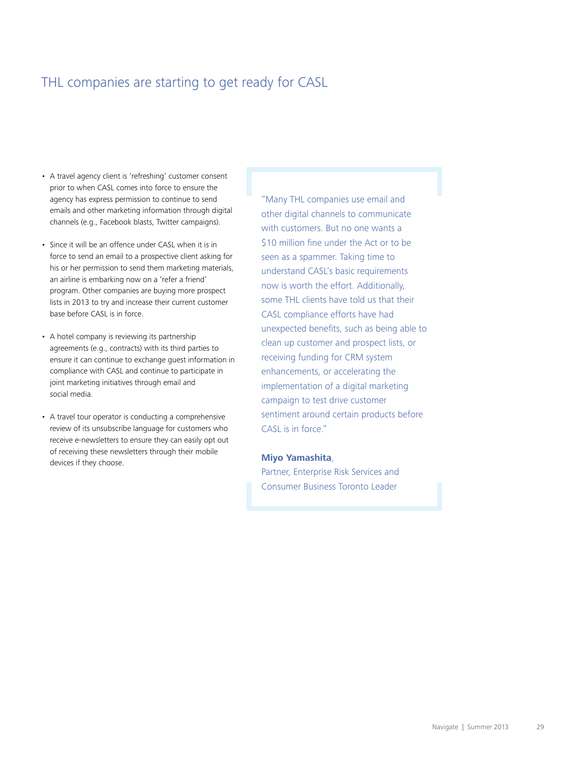# THL companies are starting to get ready for CASL

- A travel agency client is 'refreshing' customer consent prior to when CASL comes into force to ensure the agency has express permission to continue to send emails and other marketing information through digital channels (e.g., Facebook blasts, Twitter campaigns).
- Since it will be an offence under CASL when it is in force to send an email to a prospective client asking for his or her permission to send them marketing materials, an airline is embarking now on a 'refer a friend' program. Other companies are buying more prospect lists in 2013 to try and increase their current customer base before CASL is in force.
- A hotel company is reviewing its partnership agreements (e.g., contracts) with its third parties to ensure it can continue to exchange guest information in compliance with CASL and continue to participate in joint marketing initiatives through email and social media.
- A travel tour operator is conducting a comprehensive review of its unsubscribe language for customers who receive e-newsletters to ensure they can easily opt out of receiving these newsletters through their mobile devices if they choose.

"Many THL companies use email and other digital channels to communicate with customers. But no one wants a \$10 million fine under the Act or to be seen as a spammer. Taking time to understand CASL's basic requirements now is worth the effort. Additionally, some THL clients have told us that their CASL compliance efforts have had unexpected benefits, such as being able to clean up customer and prospect lists, or receiving funding for CRM system enhancements, or accelerating the implementation of a digital marketing campaign to test drive customer sentiment around certain products before CASL is in force."

#### **Miyo Yamashita**,

Partner, Enterprise Risk Services and Consumer Business Toronto Leader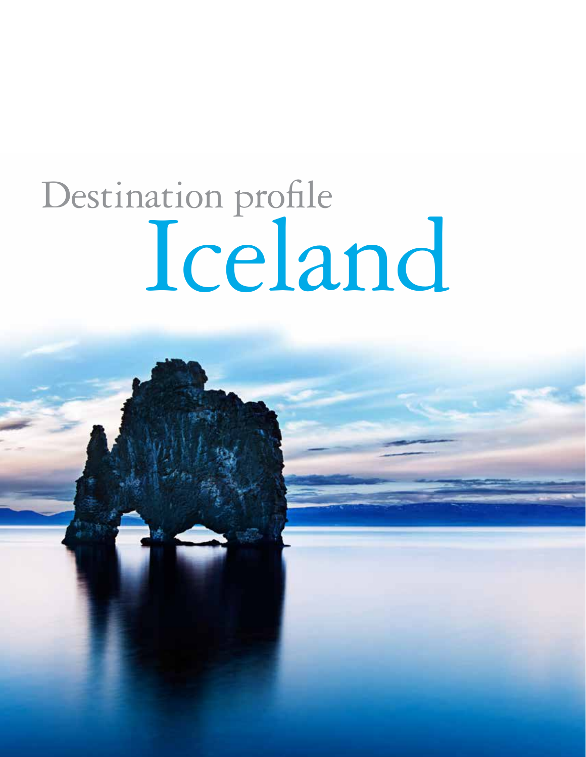# <span id="page-31-0"></span>Destination profile Iceland

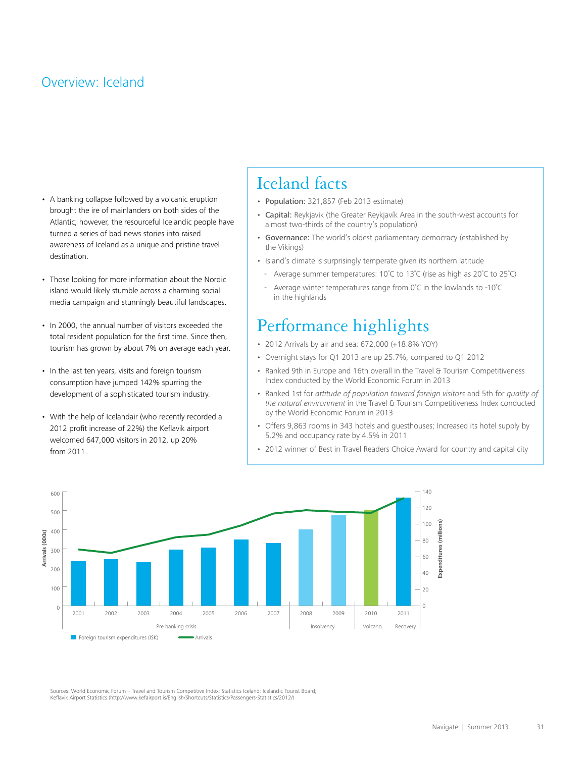# Overview: Iceland

- A banking collapse followed by a volcanic eruption brought the ire of mainlanders on both sides of the Atlantic; however, the resourceful Icelandic people have turned a series of bad news stories into raised awareness of Iceland as a unique and pristine travel destination.
- Those looking for more information about the Nordic island would likely stumble across a charming social media campaign and stunningly beautiful landscapes.
- In 2000, the annual number of visitors exceeded the total resident population for the first time. Since then, tourism has grown by about 7% on average each year.
- In the last ten years, visits and foreign tourism consumption have jumped 142% spurring the development of a sophisticated tourism industry.
- With the help of Icelandair (who recently recorded a 2012 profit increase of 22%) the Keflavik airport welcomed 647,000 visitors in 2012, up 20% from 2011.

# Iceland facts

- Population: 321,857 (Feb 2013 estimate)
- Capital: Reykjavik (the Greater Reykjavík Area in the south-west accounts for almost two-thirds of the country's population)
- Governance: The world's oldest parliamentary democracy (established by the Vikings)
- Island's climate is surprisingly temperate given its northern latitude
	- Average summer temperatures:  $10^{\circ}$ C to  $13^{\circ}$ C (rise as high as  $20^{\circ}$ C to  $25^{\circ}$ C)
- Average winter temperatures range from  $0^{\circ}$ C in the lowlands to -10 $^{\circ}$ C in the highlands

# Performance highlights

- 2012 Arrivals by air and sea: 672,000 (+18.8% YOY)
- Overnight stays for Q1 2013 are up 25.7%, compared to Q1 2012
- Ranked 9th in Europe and 16th overall in the Travel & Tourism Competitiveness Index conducted by the World Economic Forum in 2013
- Ranked 1st for *attitude of population toward foreign visitors* and 5th for *quality of the natural environment* in the Travel & Tourism Competitiveness Index conducted by the World Economic Forum in 2013
- Offers 9,863 rooms in 343 hotels and questhouses; Increased its hotel supply by 5.2% and occupancy rate by 4.5% in 2011
- 2012 winner of Best in Travel Readers Choice Award for country and capital city



Sources: World Economic Forum – Travel and Tourism Competitive Index; Statistics Iceland; Icelandic Tourist Board; Keflavik Airport Statistics [\(http://www.kefairport.is/English/Shortcuts/Statistics/Passengers-Statistics/2012/\)](http://www.kefairport.is/English/Shortcuts/Statistics/Passengers-Statistics/2012/)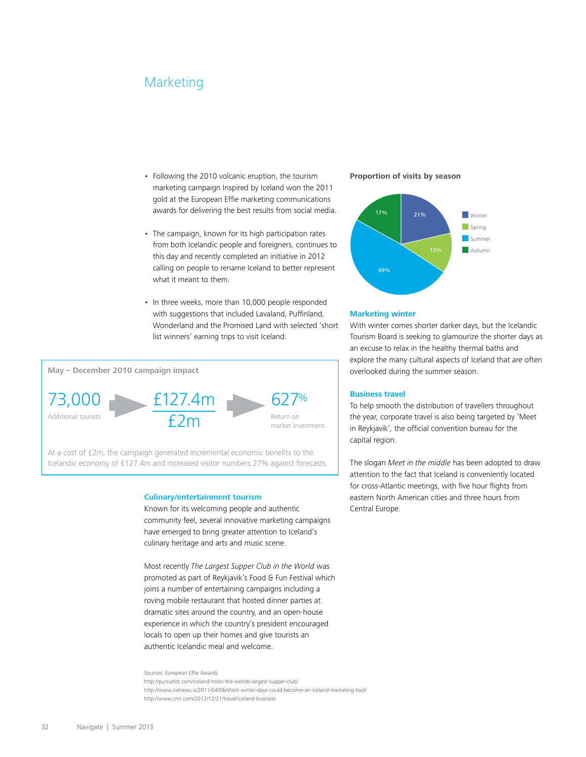# Marketing

- Following the 2010 volcanic eruption, the tourism marketing campaign Inspired by Iceland won the 2011 gold at the European Effie marketing communications awards for delivering the best results from social media.
- The campaign, known for its high participation rates from both Icelandic people and foreigners, continues to this day and recently completed an initiative in 2012 calling on people to rename Iceland to better represent what it meant to them.
- In three weeks, more than 10,000 people responded with suggestions that included Lavaland, Puffinland, Wonderland and the Promised Land with selected 'short list winners' earning trips to visit Iceland.



At a cost of £2m, the campaign generated incremental economic benefits to the Icelandic economy of £127.4m and increased visitor numbers 27% against forecasts.

#### **Culinary/entertainment tourism**

Known for its welcoming people and authentic community feel, several innovative marketing campaigns have emerged to bring greater attention to Iceland's culinary heritage and arts and music scene.

Most recently The Largest Supper Club in the World was promoted as part of Reykjavik's Food & Fun Festival which joins a number of entertaining campaigns including a roving mobile restaurant that hosted dinner parties at dramatic sites around the country, and an open-house experience in which the country's president encouraged locals to open up their homes and give tourists an authentic Icelandic meal and welcome.

#### Sources: European Effie Awards

<http://pursuitist.com/iceland-hosts-the-worlds-largest-supper-club/>

<http://www.icenews.is/2011/04/06/short-winter-days-could-become-an-iceland-marketing-tool/> <http://www.cnn.com/2012/12/21/travel/iceland-business>

#### **Proportion of visits by season**



#### **Marketing winter**

With winter comes shorter darker days, but the Icelandic Tourism Board is seeking to glamourize the shorter days as an excuse to relax in the healthy thermal baths and explore the many cultural aspects of Iceland that are often overlooked during the summer season.

#### **Business travel**

To help smooth the distribution of travellers throughout the year, corporate travel is also being targeted by 'Meet in Reykjavik', the official convention bureau for the capital region.

The slogan Meet in the middle has been adopted to draw attention to the fact that Iceland is conveniently located for cross-Atlantic meetings, with five hour flights from eastern North American cities and three hours from Central Europe.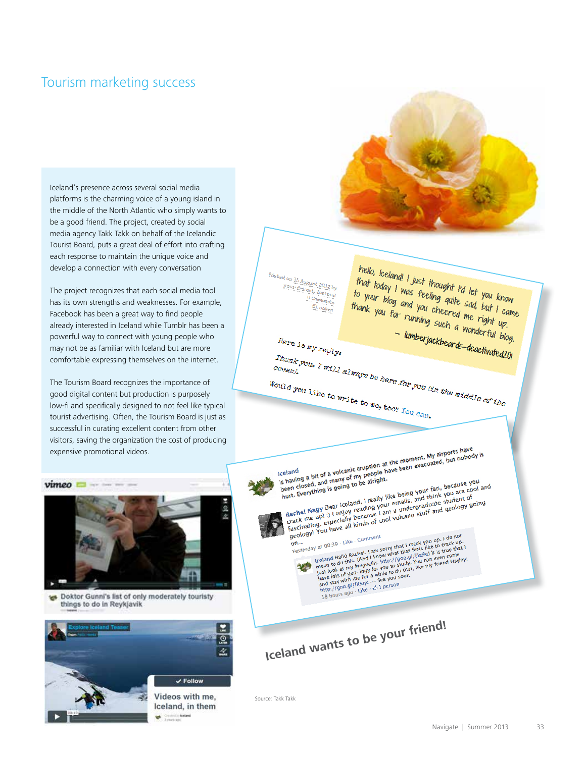# Tourism marketing success

Iceland's presence across several social media platforms is the charming voice of a young island in the middle of the North Atlantic who simply wants to be a good friend. The project, created by social media agency Takk Takk on behalf of the Icelandic Tourist Board, puts a great deal of effort into crafting each response to maintain the unique voice and develop a connection with every conversation

The project recognizes that each social media tool has its own strengths and weaknesses. For example, Facebook has been a great way to find people already interested in Iceland while Tumblr has been a powerful way to connect with young people who may not be as familiar with Iceland but are more comfortable expressing themselves on the internet.

The Tourism Board recognizes the importance of good digital content but production is purposely low-fi and specifically designed to not feel like typical tourist advertising. Often, the Tourism Board is just as successful in curating excellent content from other visitors, saving the organization the cost of producing expensive promotional videos.



Doktor Gunni's list of only moderately touristy **kell** things to do in Reykjavik





Source: Takk Takk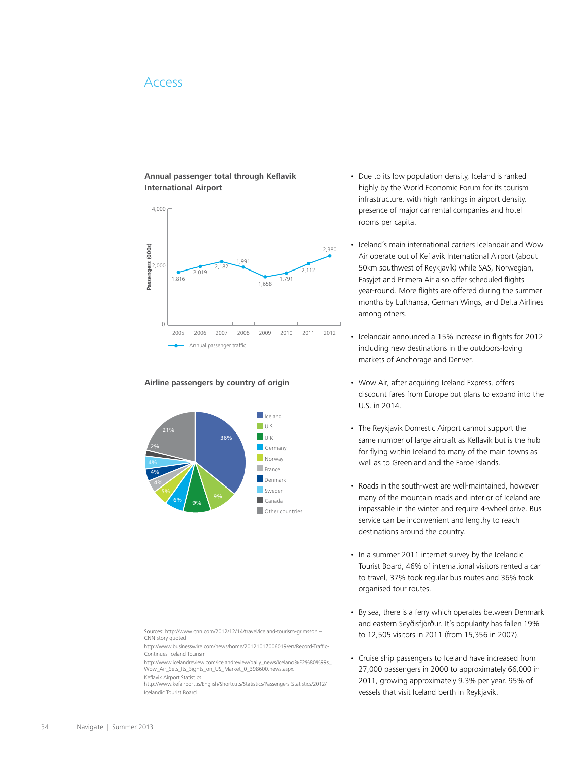# Access

#### **Annual passenger total through Keflavik International Airport**



#### **Airline passengers by country of origin**



- Due to its low population density, Iceland is ranked highly by the World Economic Forum for its tourism infrastructure, with high rankings in airport density, presence of major car rental companies and hotel rooms per capita.
- Iceland's main international carriers Icelandair and Wow Air operate out of Keflavik International Airport (about 50km southwest of Reykjavík) while SAS, Norwegian, Easyjet and Primera Air also offer scheduled flights year-round. More flights are offered during the summer months by Lufthansa, German Wings, and Delta Airlines among others.
- Icelandair announced a 15% increase in flights for 2012 including new destinations in the outdoors-loving markets of Anchorage and Denver.
- Wow Air, after acquiring Iceland Express, offers discount fares from Europe but plans to expand into the U.S. in 2014.
- The Reykjavík Domestic Airport cannot support the same number of large aircraft as Keflavik but is the hub for flying within Iceland to many of the main towns as well as to Greenland and the Faroe Islands.
- Roads in the south-west are well-maintained, however many of the mountain roads and interior of Iceland are impassable in the winter and require 4-wheel drive. Bus service can be inconvenient and lengthy to reach destinations around the country.
- In a summer 2011 internet survey by the Icelandic Tourist Board, 46% of international visitors rented a car to travel, 37% took regular bus routes and 36% took organised tour routes.
- By sea, there is a ferry which operates between Denmark and eastern Seyðisfjörður. It's popularity has fallen 19% to 12,505 visitors in 2011 (from 15,356 in 2007).
- Cruise ship passengers to Iceland have increased from 27,000 passengers in 2000 to approximately 66,000 in 2011, growing approximately 9.3% per year. 95% of vessels that visit Iceland berth in Reykjavik.

Sources: http://www.cnn.com/2012/12/14/travel/iceland-tourism-grimsson -CNN story quoted <http://www.businesswire.com/news/home/20121017006019/en/Record-Traffic->

Continues-Iceland-Tourism

[http://www.icelandreview.com/icelandreview/daily\\_news/Iceland%E2%80%99s\\_](http://www.icelandreview.com/icelandreview/daily_news/Iceland%E2%80%99s_) Wow\_Air\_Sets\_Its\_Sights\_on\_US\_Market\_0\_398600.news.aspx Keflavik Airport Statistics

<http://www.kefairport.is/English/Shortcuts/Statistics/Passengers-Statistics/2012/> Icelandic Tourist Board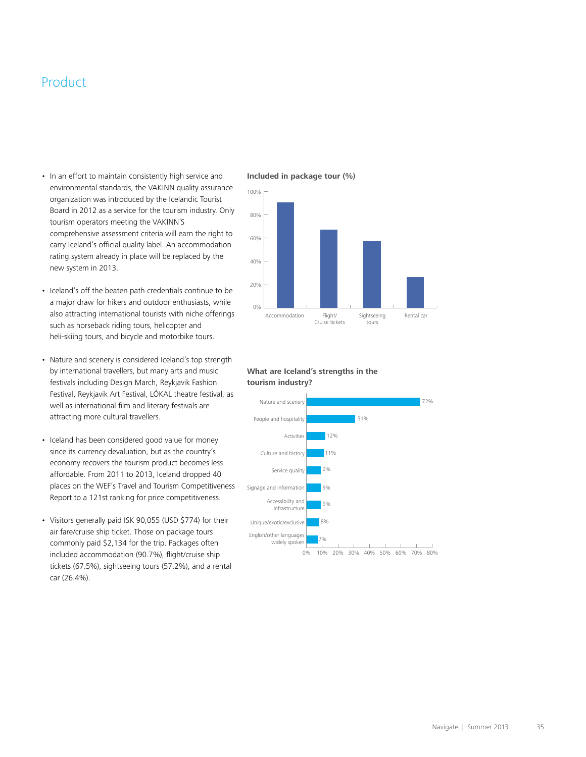# Product

- In an effort to maintain consistently high service and environmental standards, the VAKINN quality assurance organization was introduced by the Icelandic Tourist Board in 2012 as a service for the tourism industry. Only tourism operators meeting the VAKINN'S comprehensive assessment criteria will earn the right to carry Iceland's official quality label. An accommodation rating system already in place will be replaced by the new system in 2013.
- Iceland's off the beaten path credentials continue to be a major draw for hikers and outdoor enthusiasts, while also attracting international tourists with niche offerings such as horseback riding tours, helicopter and heli-skiing tours, and bicycle and motorbike tours.
- Nature and scenery is considered Iceland's top strength by international travellers, but many arts and music festivals including Design March, Reykjavik Fashion Festival, Reykjavik Art Festival, LÓKAL theatre festival, as well as international film and literary festivals are attracting more cultural travellers.
- Iceland has been considered good value for money since its currency devaluation, but as the country's economy recovers the tourism product becomes less affordable. From 2011 to 2013, Iceland dropped 40 places on the WEF's Travel and Tourism Competitiveness Report to a 121st ranking for price competitiveness.
- Visitors generally paid ISK 90,055 (USD \$774) for their air fare/cruise ship ticket. Those on package tours commonly paid \$2,134 for the trip. Packages often included accommodation (90.7%), flight/cruise ship tickets (67.5%), sightseeing tours (57.2%), and a rental car (26.4%).

#### **Included in package tour (%)**



#### **What are Iceland's strengths in the tourism industry?**

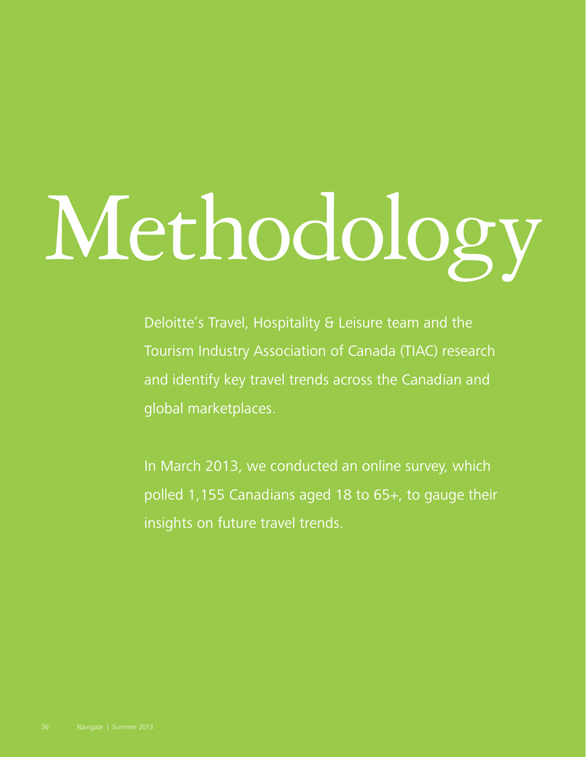# <span id="page-37-0"></span>Methodology

Deloitte's Travel, Hospitality & Leisure team and the Tourism Industry Association of Canada (TIAC) research and identify key travel trends across the Canadian and global marketplaces.

In March 2013, we conducted an online survey, which polled 1,155 Canadians aged 18 to 65+, to gauge their insights on future travel trends.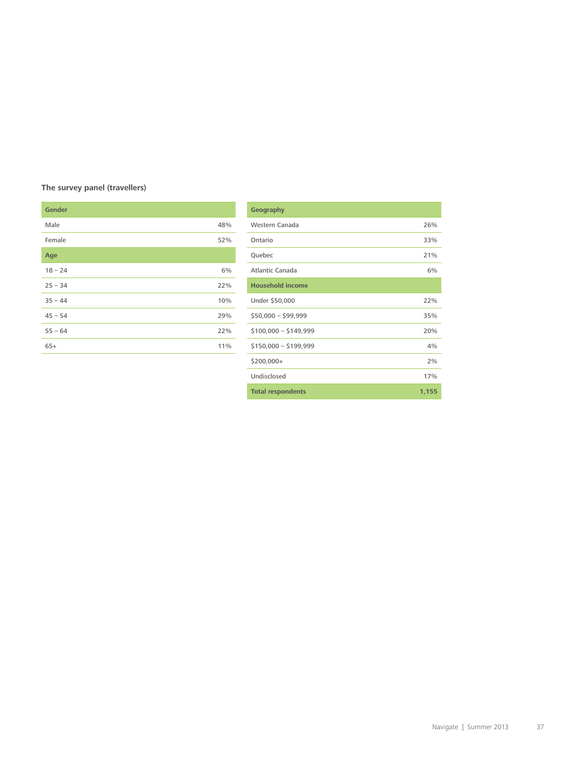### **The survey panel (travellers)**

| <b>Gender</b> |     |
|---------------|-----|
|               |     |
| Male          | 48% |
| Female        | 52% |
|               |     |
| Age           |     |
| $18 - 24$     | 6%  |
|               |     |
| $25 - 34$     | 22% |
| $35 - 44$     | 10% |
|               |     |
| $45 - 54$     | 29% |
| $55 - 64$     | 22% |
|               |     |
| $65+$         | 11% |

| Geography                |       |
|--------------------------|-------|
| Western Canada           | 26%   |
| Ontario                  | 33%   |
| Quebec                   | 21%   |
| Atlantic Canada          | 6%    |
| <b>Household income</b>  |       |
| Under \$50,000           | 22%   |
| $$50,000 - $99,999$      | 35%   |
| $$100,000 - $149,999$    | 20%   |
| $$150,000 - $199,999$    | 4%    |
| \$200,000+               | 2%    |
| Undisclosed              | 17%   |
| <b>Total respondents</b> | 1,155 |